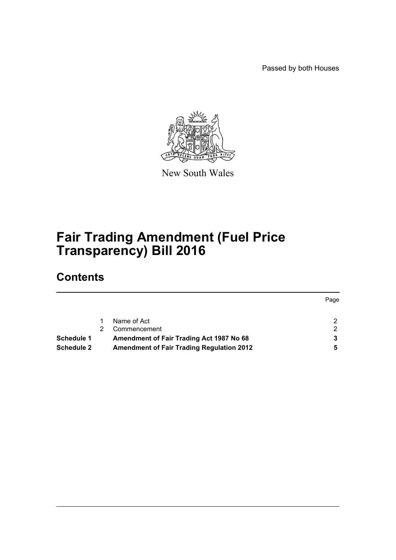Passed by both Houses



New South Wales

# **Fair Trading Amendment (Fuel Price Transparency) Bill 2016**

## **Contents**

|                   |                                                  | Page |
|-------------------|--------------------------------------------------|------|
|                   | Name of Act                                      | ົ    |
|                   | Commencement                                     |      |
| Schedule 1        | Amendment of Fair Trading Act 1987 No 68         |      |
| <b>Schedule 2</b> | <b>Amendment of Fair Trading Regulation 2012</b> |      |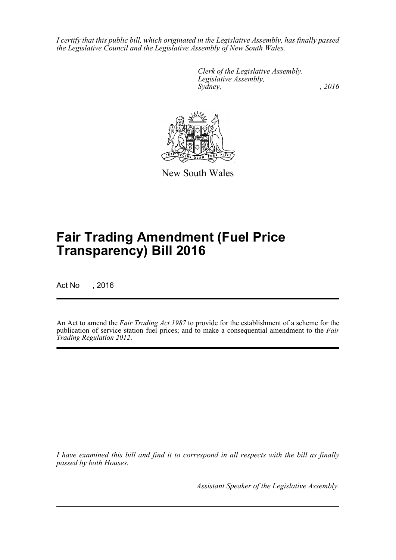*I certify that this public bill, which originated in the Legislative Assembly, has finally passed the Legislative Council and the Legislative Assembly of New South Wales.*

> *Clerk of the Legislative Assembly. Legislative Assembly, Sydney,* , 2016



New South Wales

# **Fair Trading Amendment (Fuel Price Transparency) Bill 2016**

Act No , 2016

An Act to amend the *Fair Trading Act 1987* to provide for the establishment of a scheme for the publication of service station fuel prices; and to make a consequential amendment to the *Fair Trading Regulation 2012*.

*I have examined this bill and find it to correspond in all respects with the bill as finally passed by both Houses.*

*Assistant Speaker of the Legislative Assembly.*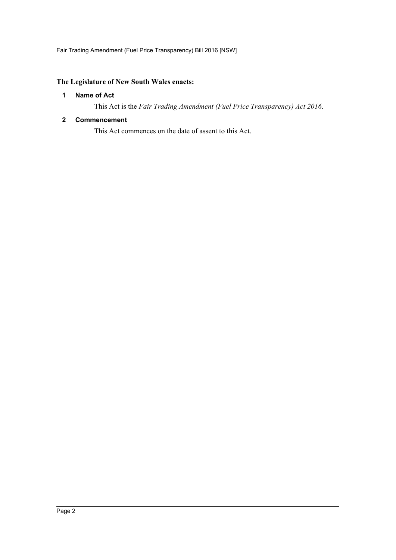## <span id="page-2-0"></span>**The Legislature of New South Wales enacts:**

### **1 Name of Act**

This Act is the *Fair Trading Amendment (Fuel Price Transparency) Act 2016*.

### <span id="page-2-1"></span>**2 Commencement**

This Act commences on the date of assent to this Act.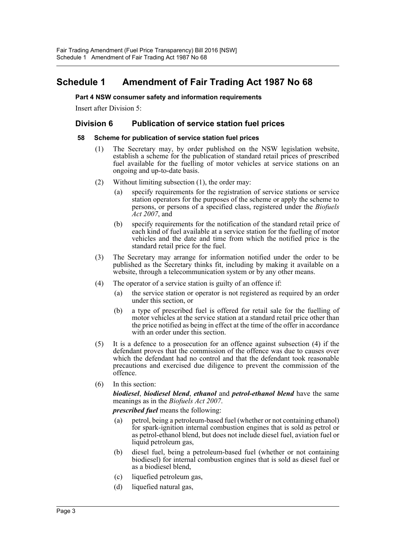## <span id="page-3-0"></span>**Schedule 1 Amendment of Fair Trading Act 1987 No 68**

#### **Part 4 NSW consumer safety and information requirements**

Insert after Division 5:

## **Division 6 Publication of service station fuel prices**

#### **58 Scheme for publication of service station fuel prices**

- (1) The Secretary may, by order published on the NSW legislation website, establish a scheme for the publication of standard retail prices of prescribed fuel available for the fuelling of motor vehicles at service stations on an ongoing and up-to-date basis.
- (2) Without limiting subsection (1), the order may:
	- (a) specify requirements for the registration of service stations or service station operators for the purposes of the scheme or apply the scheme to persons, or persons of a specified class, registered under the *Biofuels Act 2007*, and
	- (b) specify requirements for the notification of the standard retail price of each kind of fuel available at a service station for the fuelling of motor vehicles and the date and time from which the notified price is the standard retail price for the fuel.
- (3) The Secretary may arrange for information notified under the order to be published as the Secretary thinks fit, including by making it available on a website, through a telecommunication system or by any other means.
- (4) The operator of a service station is guilty of an offence if:
	- (a) the service station or operator is not registered as required by an order under this section, or
	- (b) a type of prescribed fuel is offered for retail sale for the fuelling of motor vehicles at the service station at a standard retail price other than the price notified as being in effect at the time of the offer in accordance with an order under this section.
- (5) It is a defence to a prosecution for an offence against subsection (4) if the defendant proves that the commission of the offence was due to causes over which the defendant had no control and that the defendant took reasonable precautions and exercised due diligence to prevent the commission of the offence.
- (6) In this section:

*biodiesel*, *biodiesel blend*, *ethanol* and *petrol-ethanol blend* have the same meanings as in the *Biofuels Act 2007*.

*prescribed fuel* means the following:

- (a) petrol, being a petroleum-based fuel (whether or not containing ethanol) for spark-ignition internal combustion engines that is sold as petrol or as petrol-ethanol blend, but does not include diesel fuel, aviation fuel or liquid petroleum gas,
- (b) diesel fuel, being a petroleum-based fuel (whether or not containing biodiesel) for internal combustion engines that is sold as diesel fuel or as a biodiesel blend,
- (c) liquefied petroleum gas,
- (d) liquefied natural gas,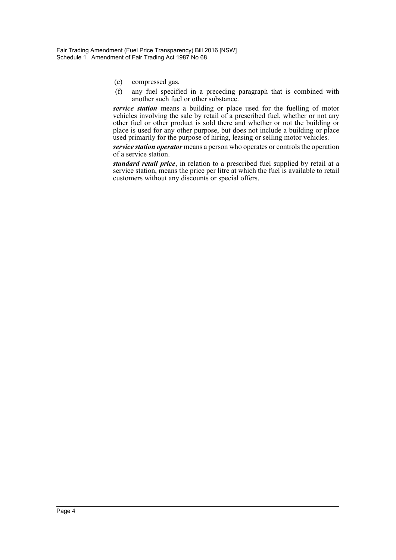- (e) compressed gas,
- (f) any fuel specified in a preceding paragraph that is combined with another such fuel or other substance.

*service station* means a building or place used for the fuelling of motor vehicles involving the sale by retail of a prescribed fuel, whether or not any other fuel or other product is sold there and whether or not the building or place is used for any other purpose, but does not include a building or place used primarily for the purpose of hiring, leasing or selling motor vehicles.

*service station operator* means a person who operates or controls the operation of a service station.

*standard retail price*, in relation to a prescribed fuel supplied by retail at a service station, means the price per litre at which the fuel is available to retail customers without any discounts or special offers.